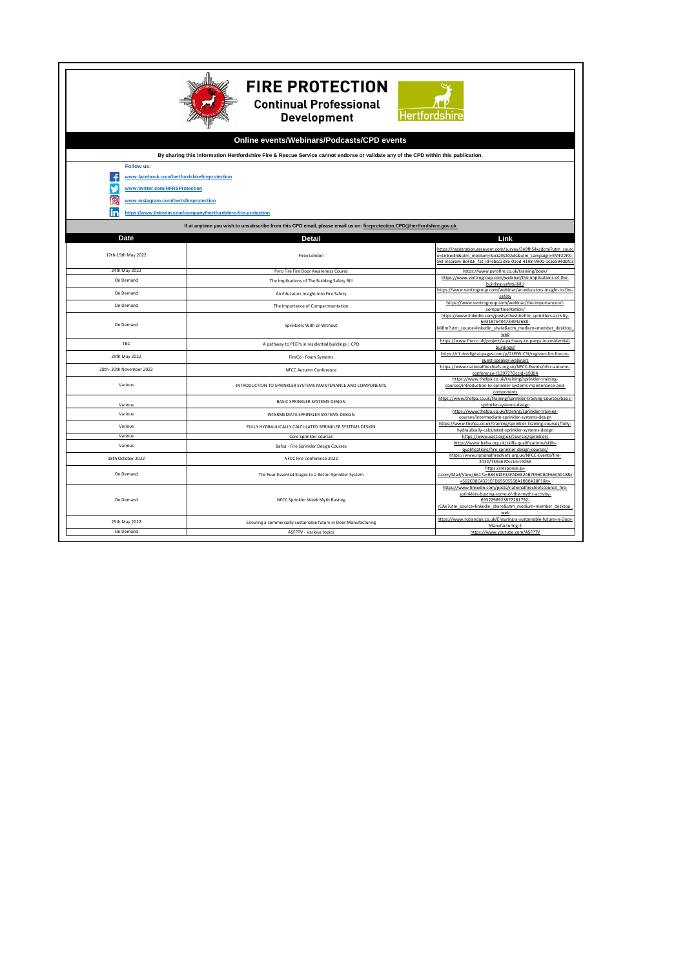| <b>FIRE PROTECTION</b><br><b>Continual Professional</b><br><b>Hertfordsh</b><br><b>Development</b>                                                                                                                  |                                                                  |                                                                                                                                                                                                             |  |
|---------------------------------------------------------------------------------------------------------------------------------------------------------------------------------------------------------------------|------------------------------------------------------------------|-------------------------------------------------------------------------------------------------------------------------------------------------------------------------------------------------------------|--|
| Online events/Webinars/Podcasts/CPD events                                                                                                                                                                          |                                                                  |                                                                                                                                                                                                             |  |
| By sharing this information Hertfordshire Fire & Rescue Service cannot endorse or validate any of the CPD within this publication.                                                                                  |                                                                  |                                                                                                                                                                                                             |  |
| Follow us:<br>www.facebook.com/hertfordshirefireprotection<br>www.twitter.com/HFRSProtection<br>ଟେ<br>www.instagram.com/hertsfireprotection<br>in<br>https://www.linkedin.com/company/hertfordshire-fire-protection |                                                                  |                                                                                                                                                                                                             |  |
| If at anytime you wish to unsubscribe from this CPD email, please email us on: fireprotection.CPD@hertfordshire.gov.uk                                                                                              |                                                                  |                                                                                                                                                                                                             |  |
| Date<br>Link<br><b>Detail</b>                                                                                                                                                                                       |                                                                  |                                                                                                                                                                                                             |  |
| 17th-19th May 2022                                                                                                                                                                                                  | Firex London                                                     | https://registration.gesevent.com/survey/3n9fh54xcdcmi?utm_soure<br>e=Linkedin&utm_medium=Social%20Ads&utm_campaign=EME22FXI-<br>SM-Visprom-BoF&li fat id=cbcc238e-01ed-4198-9901-1cab594dbfc3              |  |
| 24th May 2022                                                                                                                                                                                                       | Pyro Fire Fire Door Awareness Coures                             | https://www.pyrofire.co.uk/training/book/<br>https://www.ventrogroup.com/webinar/the-implications-of-the-                                                                                                   |  |
| On Demand                                                                                                                                                                                                           | The Implications of The Building Safety Bill                     | building-safety-bill/                                                                                                                                                                                       |  |
| On Demand                                                                                                                                                                                                           | An Educators Insight into Fire Safety                            | https://www.ventrogroup.com/webinar/an-educators-insight-to-fire<br>safety                                                                                                                                  |  |
| On Demand                                                                                                                                                                                                           | The Importance of Compartmentation                               | https://www.ventrogroup.com/webinar/the-importance-of-<br>compartmentation/                                                                                                                                 |  |
| On Demand                                                                                                                                                                                                           | Sprinklers With or Without                                       | https://www.linkedin.com/posts/cheshirefire_sprinklers-activity-<br>6931876404733042688-<br>Mi8m?utm_source=linkedin_share&utm_medium=member_desktop<br>web                                                 |  |
| TBC                                                                                                                                                                                                                 | A pathway to PEEPs in residential buildings   CPD                | https://www.fireco.uk/project/a-pathway-to-peeps-in-residential-<br>buildings/                                                                                                                              |  |
| 29th May 2022                                                                                                                                                                                                       | FireCo - Foam Systems                                            | https://r1.dotdigital-pages.com/p/2U9W-C3I/register-for-firecos-<br>guest-speaker-webinars                                                                                                                  |  |
| 28th-30th November 2022                                                                                                                                                                                             | NFCC Autumn Conference                                           | https://www.nationalfirechiefs.org.uk/NFCC-Events/nfcc-autumn-<br>conference-/13977?OccId=19304                                                                                                             |  |
| Various                                                                                                                                                                                                             | INTRODUCTION TO SPRINKLER SYSTEMS MAINTENANCE AND COMPONENTS     | https://www.thefpa.co.uk/training/sprinkler-training-<br>courses/introduction-to-sprinkler-systems-maintenance-and-<br>components                                                                           |  |
| Various                                                                                                                                                                                                             | BASIC SPRINKLER SYSTEMS DESIGN                                   | https://www.thefpa.co.uk/training/sprinkler-training-courses/basic-<br>sprinkler-systems-design                                                                                                             |  |
| Various                                                                                                                                                                                                             | INTERMEDIATE SPRINKLER SYSTEMS DESIGN                            | https://www.thefpa.co.uk/training/sprinkler-training-<br>courses/intermediate-sprinkler-systems-design                                                                                                      |  |
| Various                                                                                                                                                                                                             | FULLY HYDRAULICALLY CALCULATED SPRINKLER SYSTEMS DESIGN          | https://www.thefpa.co.uk/training/sprinkler-training-courses/fully-<br>hydraulically-calculated-sprinkler-systems-design                                                                                    |  |
| Various                                                                                                                                                                                                             | Core Sprinkler courses                                           | https://www.xact.org.uk/courses/sprinklers                                                                                                                                                                  |  |
| Various                                                                                                                                                                                                             | Bafsa - Fire Sprinkler Design Courses                            | https://www.bafsa.org.uk/skills-qualifications/skills-<br>qualifications/fire-sprinkler-design-courses/                                                                                                     |  |
| 18th October 2022                                                                                                                                                                                                   | NFCC Fire Conference 2022                                        | https://www.nationalfirechiefs.org.uk/NFCC-Events/fire-<br>2022/13946?Occid=19266                                                                                                                           |  |
| On Demand                                                                                                                                                                                                           | The Four Essential Stages to a Better Sprinkler System           | https://response.gv-<br>c.com/Mail/View/661?a=B8461EF33FAD6E24B7E96CB4F66C5018&r<br>=502CB8C4321EFD69505558A1BB0A28F1&t=                                                                                    |  |
| On Demand                                                                                                                                                                                                           | NFCC Sprinkler Week Myth Busting                                 | https://www.linkedin.com/posts/nationalfirechiefscouncil_fire-<br>sprinklers-busting-some-of-the-myths-activity-<br>6932298923877281792-<br>rCAe?utm source=linkedin share&utm medium=member desktop<br>web |  |
| 25th May 2022                                                                                                                                                                                                       | Ensuring a commercially sustainable future in Door Manufacturing | https://www.rutlanduk.co.uk/Ensuring-a-sustainable-future-in-Door-<br>Manufacturing-2                                                                                                                       |  |
| On Demand                                                                                                                                                                                                           | <b>ASFPTV - Various topics</b>                                   | https://www.youtube.com/ASFPTV                                                                                                                                                                              |  |